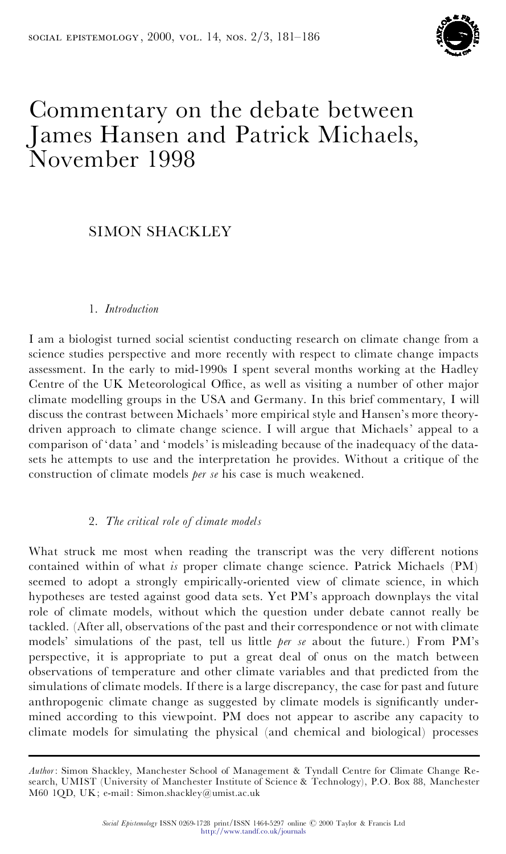

# Commentary on the debate between James Hansen and Patrick Michaels, November 1998

# SIMON SHACKLEY

### 1. *Introduction*

I am a biologist turned social scientist conducting research on climate change from a science studies perspective and more recently with respect to climate change impacts assessment. In the early to mid-1990s I spent several months working at the Hadley Centre of the UK Meteorological Office, as well as visiting a number of other major climate modelling groups in the USA and Germany. In this brief commentary, I will discuss the contrast between Michaels' more empirical style and Hansen's more theorydriven approach to climate change science. I will argue that Michaels' appeal to a comparison of 'data ' and 'models' is misleading because of the inadequacy of the datasets he attempts to use and the interpretation he provides. Without a critique of the construction of climate models *per se* his case is much weakened.

## 2. T*he critical role of climate models*

What struck me most when reading the transcript was the very different notions contained within of what *is* proper climate change science. Patrick Michaels (PM) seemed to adopt a strongly empirically-oriented view of climate science, in which hypotheses are tested against good data sets. Yet PM's approach downplays the vital role of climate models, without which the question under debate cannot really be tackled. (After all, observations of the past and their correspondence or not with climate models' simulations of the past, tell us little *per se* about the future.) From PM's perspective, it is appropriate to put a great deal of onus on the match between observations of temperature and other climate variables and that predicted from the simulations of climate models. If there is a large discrepancy, the case for past and future anthropogenic climate change as suggested by climate models is signicantly undermined according to this viewpoint. PM does not appear to ascribe any capacity to climate models for simulating the physical (and chemical and biological) processes

*Author*: Simon Shackley, Manchester School of Management & Tyndall Centre for Climate Change Research, UMIST (University of Manchester Institute of Science & Technology), P.O. Box 88, Manchester M60 1QD, UK; e-mail: Simon.shackley@umist.ac.uk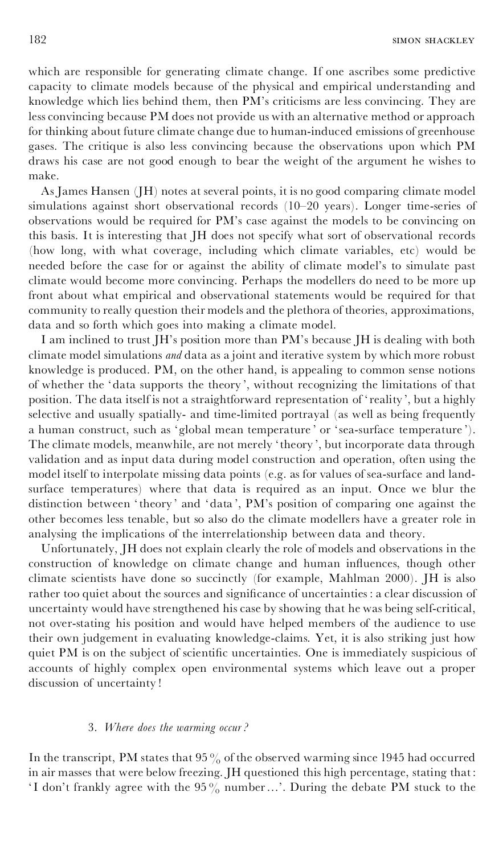which are responsible for generating climate change. If one ascribes some predictive capacity to climate models because of the physical and empirical understanding and knowledge which lies behind them, then PM's criticisms are less convincing. They are less convincing because PM doesnot provide us with an alternative method or approach for thinking about future climate change due to human-induced emissions of greenhouse gases. The critique is also less convincing because the observations upon which PM draws his case are not good enough to bear the weight of the argument he wishes to make.

As James Hansen (JH) notes at several points, it is no good comparing climate model simulations against short observational records (10–20 years). Longer time-series of observations would be required for PM's case against the models to be convincing on this basis. It is interesting that JH does not specify what sort of observational records (how long, with what coverage, including which climate variables, etc) would be needed before the case for or against the ability of climate model's to simulate past climate would become more convincing. Perhaps the modellers do need to be more up front about what empirical and observational statements would be required for that community to really question their models and the plethora of theories, approximations, data and so forth which goes into making a climate model.

I am inclined to trust JH's position more than PM's because JH is dealing with both climate model simulations *and* data as a joint and iterative system by which more robust knowledge is produced. PM, on the other hand, is appealing to common sense notions of whether the 'data supports the theory ', without recognizing the limitations of that position. The data itself is not a straightforward representation of 'reality', but a highly selective and usually spatially- and time-limited portrayal (as well as being frequently a human construct, such as 'global mean temperature ' or 'sea-surface temperature '). The climate models, meanwhile, are not merely 'theory', but incorporate data through validation and as input data during model construction and operation, often using the model itself to interpolate missing data points (e.g. as for values of sea-surface and landsurface temperatures) where that data is required as an input. Once we blur the distinction between 'theory ' and 'data ',PM's position of comparing one against the other becomes less tenable, but so also do the climate modellers have a greater role in analysing the implications of the interrelationship between data and theory.

Unfortunately, JH does not explain clearly the role of models and observations in the construction of knowledge on climate change and human influences, though other climate scientists have done so succinctly (for example, Mahlman 2000). JH is also rather too quiet about the sources and significance of uncertainties : a clear discussion of uncertainty would have strengthened his case by showing that he was being self-critical, not over-stating his position and would have helped members of the audience to use their own judgement in evaluating knowledge-claims. Yet, it is also striking just how quiet PM is on the subject of scientific uncertainties. One is immediately suspicious of accounts of highly complex open environmental systems which leave out a proper discussion of uncertainty !

#### 3. *Where does the* W*arming occur?*

In the transcript, PM states that  $95\%$  of the observed warming since 1945 had occurred in air masses that were below freezing. JH questioned this high percentage, stating that: ' I don't frankly agree with the 95% number…'. During the debate PM stuck to the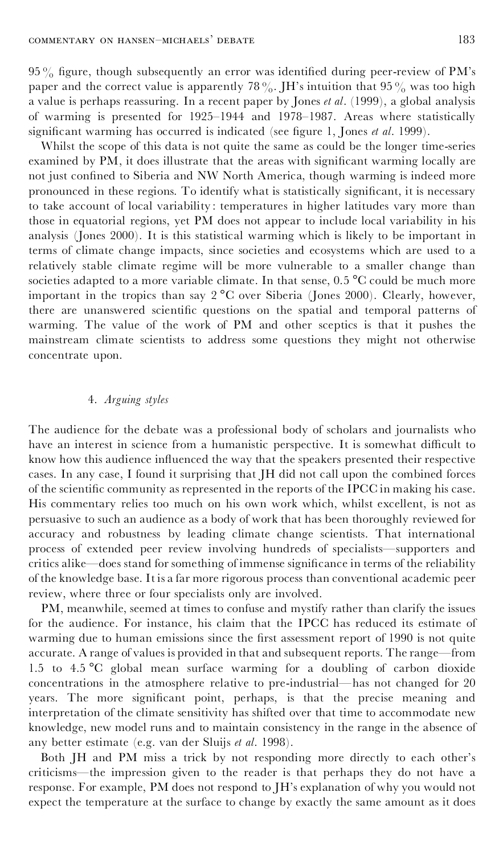$95\%$  figure, though subsequently an error was identified during peer-review of PM's paper and the correct value is apparently 78%. JH's intuition that 95% was too high a value is perhaps reassuring. In a recent paper by Jones *et al*. (1999), a global analysis of warming is presented for 1925–1944 and 1978–1987. Areas where statistically significant warming has occurred is indicated (see figure 1, Jones *et al.* 1999).

Whilst the scope of this data is not quite the same as could be the longer time-series examined by PM, it does illustrate that the areas with significant warming locally are not just confined to Siberia and NW North America, though warming is indeed more pronounced in these regions. To identify what is statistically signicant, it is necessary to take account of local variability : temperatures in higher latitudes vary more than those in equatorial regions, yet PM doesnot appear to include local variability in his analysis (Jones 2000). It is this statistical warming which is likely to be important in terms of climate change impacts, since societies and ecosystems which are used to a relatively stable climate regime will be more vulnerable to a smaller change than societies adapted to a more variable climate. In that sense,  $0.5\text{ °C}$  could be much more important in the tropics than say 2 °C over Siberia (Jones 2000). Clearly, however, there are unanswered scientific questions on the spatial and temporal patterns of warming. The value of the work of PM and other sceptics is that it pushes the mainstream climate scientists to address some questions they might not otherwise concentrate upon.

#### 4. *Arguing styles*

The audience for the debate was a professional body of scholars and journalists who have an interest in science from a humanistic perspective. It is somewhat difficult to know how this audience influenced the way that the speakers presented their respective cases. In any case, I found it surprising that JH did not call upon the combined forces of the scientific community as represented in the reports of the IPCC in making his case. His commentary relies too much on his own work which, whilst excellent, is not as persuasive to such an audience as a body of work that has been thoroughly reviewed for accuracy and robustness by leading climate change scientists. That international process of extended peer review involving hundreds of specialists—supporters and critics alike—does stand for something of immense signicance in terms of the reliability of the knowledge base. It is a far more rigorous process than conventional academic peer review, where three or four specialists only are involved.

PM, meanwhile, seemed at times to confuse and mystify rather than clarify the issues for the audience. For instance, his claim that the IPCC has reduced its estimate of warming due to human emissions since the first assessment report of 1990 is not quite accurate. A range of values is provided in that and subsequent reports. The range—from 1.5 to 4.5 °C global mean surface warming for a doubling of carbon dioxide concentrations in the atmosphere relative to pre-industrial—has not changed for 20 years. The more signicant point, perhaps, is that the precise meaning and interpretation of the climate sensitivity has shifted over that time to accommodate new knowledge, new model runs and to maintain consistency in the range in the absence of any better estimate (e.g. van der Sluijs *et al*. 1998).

Both JH and PM miss a trick by not responding more directly to each other's criticisms—the impression given to the reader is that perhaps they do not have a response. For example, PM does not respond to JH's explanation of why you would not expect the temperature at the surface to change by exactly the same amount as it does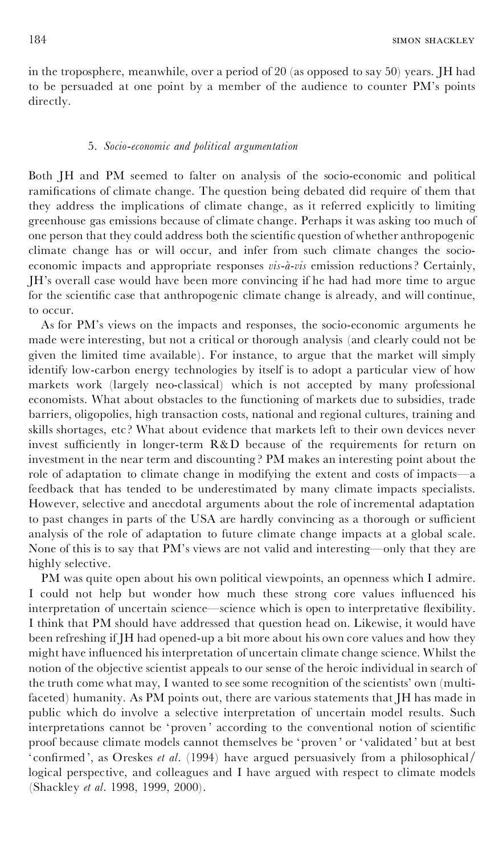in the troposphere, meanwhile, over a period of 20 (as opposed to say 50) years. JH had to be persuaded at one point by a member of the audience to counter PM's points directly.

#### 5. *Socio*-*economic and political argumentation*

Both JH and PM seemed to falter on analysis of the socio-economic and political ramifications of climate change. The question being debated did require of them that they address the implications of climate change, as it referred explicitly to limiting greenhouse gas emissions because of climate change. Perhaps it was asking too much of one person that they could address both the scientic question of whether anthropogenic climate change has or will occur, and infer from such climate changes the socioeconomic impacts and appropriate responses *vis-à-vis* emission reductions? Certainly, JH's overall case would have been more convincing if he had had more time to argue for the scientific case that anthropogenic climate change is already, and will continue, to occur.

As for PM's views on the impacts and responses, the socio-economic arguments he made were interesting, but not a critical or thorough analysis (and clearly could not be given the limited time available). For instance, to argue that the market will simply identify low-carbon energy technologies by itself is to adopt a particular view of how markets work (largely neo-classical) which is not accepted by many professional economists. What about obstacles to the functioning of markets due to subsidies, trade barriers, oligopolies, high transaction costs, national and regional cultures, training and skills shortages, etc ? What about evidence that markets left to their own devices never invest sufficiently in longer-term  $R&D$  because of the requirements for return on investment in the near term and discounting ? PM makes an interesting point about the role of adaptation to climate change in modifying the extent and costs of impacts—a feedback that has tended to be underestimated by many climate impacts specialists. However, selective and anecdotal arguments about the role of incremental adaptation to past changes in parts of the USA are hardly convincing as a thorough or sufficient analysis of the role of adaptation to future climate change impacts at a global scale. None of this is to say that PM's views are not valid and interesting—only that they are highly selective.

PM was quite open about his own political viewpoints, an openness which I admire. I could not help but wonder how much these strong core values influenced his interpretation of uncertain science—science which is open to interpretative flexibility. I think that PM should have addressed that question head on. Likewise, it would have been refreshing if JH had opened-up a bit more about his own core values and how they might have influenced his interpretation of uncertain climate change science. Whilst the notion of the objective scientist appeals to our sense of the heroic individual in search of the truth come what may, I wanted to see some recognition of the scientists' own (multifaceted) humanity. As PM points out, there are various statements that IH has made in public which do involve a selective interpretation of uncertain model results. Such interpretations cannot be 'proven ' according to the conventional notion of scientic proof because climate models cannot themselves be 'proven ' or 'validated ' but at best ' confirmed', as Oreskes *et al.* (1994) have argued persuasively from a philosophical/ logical perspective, and colleagues and I have argued with respect to climate models (Shackley *et al*. 1998, 1999, 2000).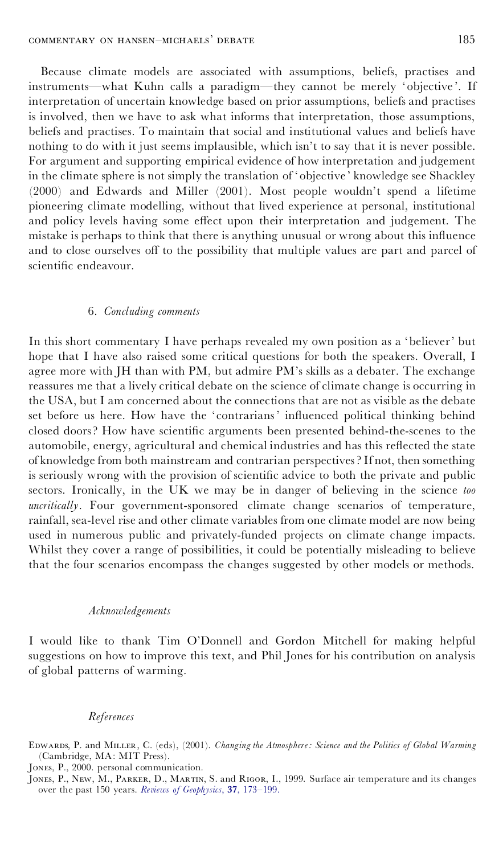Because climate models are associated with assumptions, beliefs, practises and instruments—what Kuhn calls a paradigm—they cannot be merely 'objective '. If interpretation of uncertain knowledge based on prior assumptions, beliefs and practises is involved, then we have to ask what informs that interpretation, those assumptions, beliefs and practises. To maintain that social and institutional values and beliefs have nothing to do with it just seems implausible, which isn't to say that it is never possible. For argument and supporting empirical evidence of how interpretation and judgement in the climate sphere is not simply the translation of 'objective ' knowledge see Shackley (2000) and Edwards and Miller (2001). Most people wouldn't spend a lifetime pioneering climate modelling, without that lived experience at personal, institutional and policy levels having some effect upon their interpretation and judgement. The mistake is perhaps to think that there is anything unusual or wrong about this influence and to close ourselves off to the possibility that multiple values are part and parcel of scientific endeavour.

#### 6. *Concluding comments*

In this short commentary I have perhaps revealed my own position as a 'believer' but hope that I have also raised some critical questions for both the speakers. Overall, I agree more with JH than with PM, but admire PM's skills as a debater. The exchange reassures me that a lively critical debate on the science of climate change is occurring in the USA, but I am concerned about the connections that are not as visible as the debate set before us here. How have the 'contrarians' influenced political thinking behind closed doors? How have scientific arguments been presented behind-the-scenes to the automobile, energy, agricultural and chemical industries and has this reflected the state of knowledge from both mainstream and contrarian perspectives? If not, then something is seriously wrong with the provision of scientific advice to both the private and public sectors. Ironically, in the UK we may be in danger of believing in the science *too uncritically*. Four government-sponsored climate change scenarios of temperature, rainfall, sea-level rise and other climate variables from one climate model are now being used in numerous public and privately-funded projects on climate change impacts. Whilst they cover a range of possibilities, it could be potentially misleading to believe that the four scenarios encompass the changes suggested by other models or methods.

#### *Acknowledgements*

I would like to thank Tim O'Donnell and Gordon Mitchell for making helpful suggestions on how to improve this text, and Phil Jones for his contribution on analysis of global patterns of warming.

#### *References*

Edwards, P. and Miller, C. (eds), (2001). C*hanging the Atmosphere: Science and the Politics of Global Warming* (Cambridge, MA: MIT Press).

Jones, P., 2000. personal communication.

Jones, P., New, M., Parker, D., Martin, S. and Rigor, I., 1999. Surface air temperature and its changes over the past 150 years. *Reviews of [Geophysics](http://cherubino.catchword.com/nw=1/rpsv/8755-1209^28^2937L.199[doi=10.1046/j.1365-2923.1999.00270.x])*, **37**, 173–199.